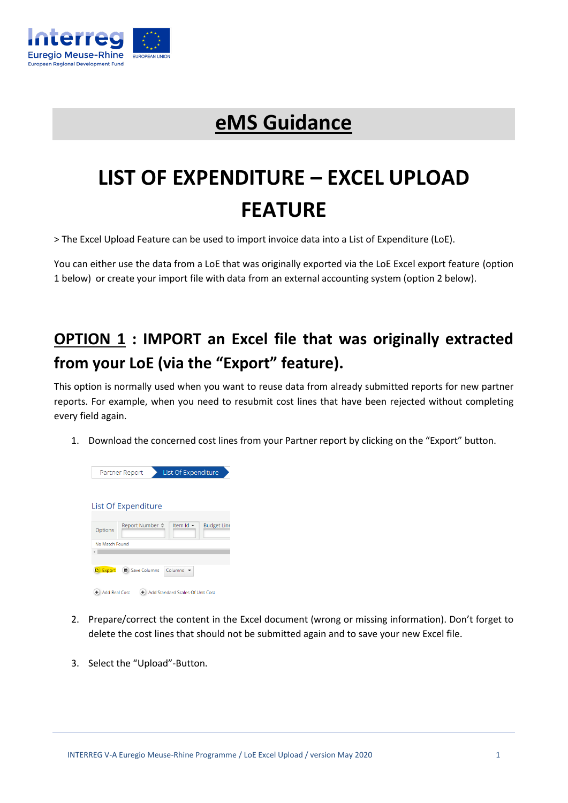

## **eMS Guidance**

# **LIST OF EXPENDITURE – EXCEL UPLOAD FEATURE**

> The Excel Upload Feature can be used to import invoice data into a List of Expenditure (LoE).

You can either use the data from a LoE that was originally exported via the LoE Excel export feature (option 1 below) or create your import file with data from an external accounting system (option 2 below).

### **OPTION 1 : IMPORT an Excel file that was originally extracted from your LoE (via the "Export" feature).**

This option is normally used when you want to reuse data from already submitted reports for new partner reports. For example, when you need to resubmit cost lines that have been rejected without completing every field again.

1. Download the concerned cost lines from your Partner report by clicking on the "Export" button.

| List Of Expenditure<br>Partner Report |                                                    |  |  |  |  |
|---------------------------------------|----------------------------------------------------|--|--|--|--|
|                                       | List Of Expenditure                                |  |  |  |  |
| Options                               | Item Id ▲<br><b>Budget Line</b><br>Report Number ≎ |  |  |  |  |
| No Match Found                        |                                                    |  |  |  |  |
|                                       |                                                    |  |  |  |  |
| <b>D</b> Export                       | <b>B</b> Save Columns<br>Columns                   |  |  |  |  |
| ÷<br><b>Add Real Cost</b>             | Add Standard Scales Of Unit Cost<br>÷.             |  |  |  |  |

- 2. Prepare/correct the content in the Excel document (wrong or missing information). Don't forget to delete the cost lines that should not be submitted again and to save your new Excel file.
- 3. Select the "Upload"-Button.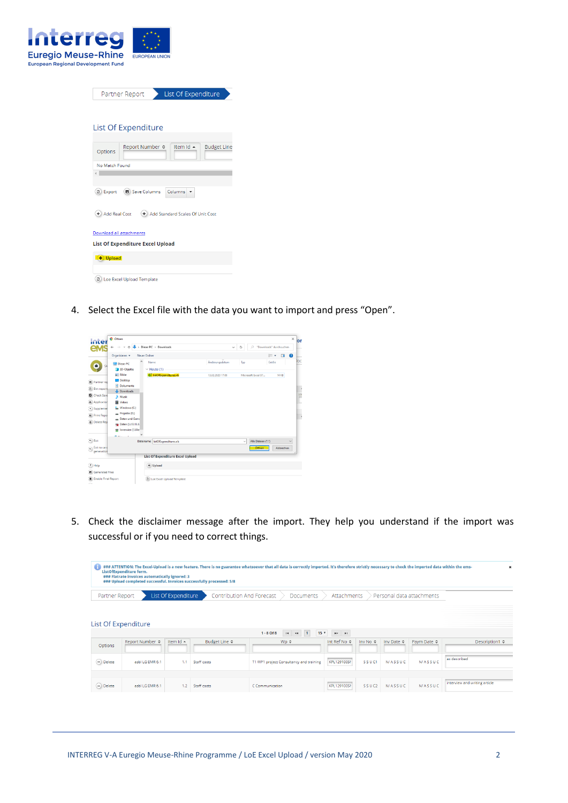

| List Of Expenditure<br>Partner Report |                                         |                                      |                    |
|---------------------------------------|-----------------------------------------|--------------------------------------|--------------------|
|                                       |                                         |                                      |                    |
|                                       |                                         |                                      |                    |
| List Of Expenditure                   |                                         |                                      |                    |
|                                       |                                         | Item Id ▲                            |                    |
| Options                               | Report Number ≎                         |                                      | <b>Budget Line</b> |
| No Match Found                        |                                         |                                      |                    |
|                                       |                                         |                                      |                    |
|                                       |                                         |                                      |                    |
| <b>D</b> Export                       | <b>B</b> Save Columns                   | Columns                              |                    |
| + Add Real Cost                       |                                         | (+) Add Standard Scales Of Unit Cost |                    |
| Download all attachments              |                                         |                                      |                    |
|                                       | <b>List Of Expenditure Excel Upload</b> |                                      |                    |
| $+$ Upload                            |                                         |                                      |                    |
|                                       |                                         |                                      |                    |
| D) Loe Excel Upload Template          |                                         |                                      |                    |
|                                       |                                         |                                      |                    |

4. Select the Excel file with the data you want to import and press "Open".



5. Check the disclaimer message after the import. They help you understand if the import was successful or if you need to correct things.

| G.                       | ListOfExpenditure form.<br>### Flatrate invoices automatically ignored: 3 |           | ### Upload completed successful. Invoices successfully processed: 5/8 | ### ATTENTION: The Excel-Upload is a new feature. There is no guarantee whatsoever that all data is correctly imported. It's therefore strictly necessary to check the imported data within the ems- |                                 |                           |                     |                      | ×                             |
|--------------------------|---------------------------------------------------------------------------|-----------|-----------------------------------------------------------------------|------------------------------------------------------------------------------------------------------------------------------------------------------------------------------------------------------|---------------------------------|---------------------------|---------------------|----------------------|-------------------------------|
|                          | List Of Expenditure<br>Partner Report                                     |           |                                                                       | Contribution And Forecast<br>Attachments<br><b>Documents</b>                                                                                                                                         |                                 | Personal data attachments |                     |                      |                               |
|                          | List Of Expenditure                                                       |           |                                                                       | 15 <sub>x</sub><br>$1 - 8$ Of $8$<br>$\vert$ 1<br>$\blacksquare$<br>$\leftrightarrow$                                                                                                                | $\mathbb{R}^p$ . $\mathbb{R}^p$ |                           |                     |                      |                               |
| Options                  | Report Number ≎                                                           | Item Id ▲ | Budget Line $\hat{z}$                                                 | Wp $\Leftrightarrow$                                                                                                                                                                                 | Int Ref No $\hat{\circ}$        | Inv No $\Leftrightarrow$  | Inv Date $\Diamond$ | Paym Date $\diamond$ | <b>Description1 ≎</b>         |
| $\left( -\right)$ Delete | asbl LG EMR 6.1                                                           | 1.1       | Staff costs                                                           | T1 WP1 project Consultancy and training                                                                                                                                                              | KPL129100SM                     | SSUC1                     | <b>N/ASSUC</b>      | <b>N/ASSUC</b>       | as described                  |
| $(-)$ Delete             | asbl LG EMR 6.1                                                           | 1.2       | Staff costs                                                           | C Communication                                                                                                                                                                                      | KPL129100SM                     | SSUC <sub>2</sub>         | <b>N/ASSUC</b>      | <b>N/ASSUC</b>       | interview and writing article |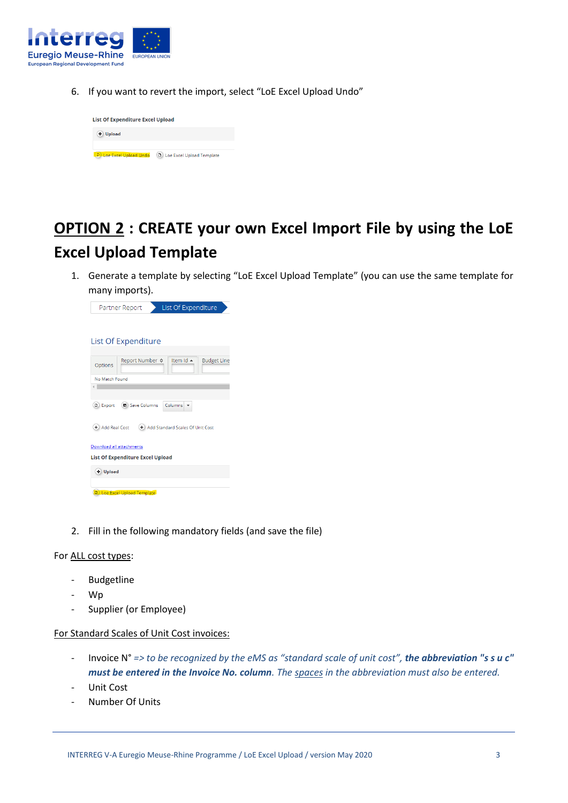

6. If you want to revert the import, select "LoE Excel Upload Undo"



### **OPTION 2 : CREATE your own Excel Import File by using the LoE Excel Upload Template**

1. Generate a template by selecting "LoE Excel Upload Template" (you can use the same template for many imports).

| List Of Expenditure<br>Partner Report                         |  |  |  |  |
|---------------------------------------------------------------|--|--|--|--|
|                                                               |  |  |  |  |
|                                                               |  |  |  |  |
| List Of Expenditure                                           |  |  |  |  |
| Item Id ▲<br>Report Number ♦<br><b>Budget Line</b><br>Options |  |  |  |  |
| No Match Found                                                |  |  |  |  |
|                                                               |  |  |  |  |
| <b>B</b> Save Columns<br>Columns<br><b>D</b> Export           |  |  |  |  |
| + Add Real Cost<br>(+) Add Standard Scales Of Unit Cost       |  |  |  |  |
| Download all attachments                                      |  |  |  |  |
| <b>List Of Expenditure Excel Upload</b>                       |  |  |  |  |
| + Upload                                                      |  |  |  |  |
|                                                               |  |  |  |  |
| <b>D</b> Loe Excel Upload Template                            |  |  |  |  |

2. Fill in the following mandatory fields (and save the file)

#### For ALL cost types:

- Budgetline
- Wp
- Supplier (or Employee)

### For Standard Scales of Unit Cost invoices:

- Invoice N° *=> to be recognized by the eMS as "standard scale of unit cost", the abbreviation "s s u c" must be entered in the Invoice No. column. The spaces in the abbreviation must also be entered.*
- Unit Cost
- Number Of Units